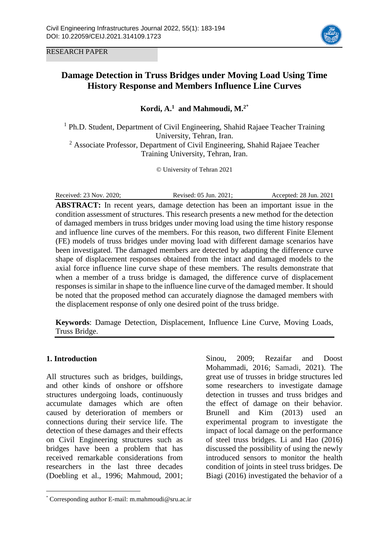RESEARCH PAPER



# **Damage Detection in Truss Bridges under Moving Load Using Time History Response and Members Influence Line Curves**

**Kordi, A. <sup>1</sup> and Mahmoudi, M. 2**\*

<sup>1</sup> Ph.D. Student, Department of Civil Engineering, Shahid Rajaee Teacher Training University, Tehran, Iran.

<sup>2</sup> Associate Professor, Department of Civil Engineering, Shahid Rajaee Teacher Training University, Tehran, Iran.

© University of Tehran 2021

Received: 23 Nov. 2020; Revised: 05 Jun. 2021; Accepted: 28 Jun. 2021 **ABSTRACT:** In recent years, damage detection has been an important issue in the condition assessment of structures. This research presents a new method for the detection of damaged members in truss bridges under moving load using the time history response and influence line curves of the members. For this reason, two different Finite Element (FE) models of truss bridges under moving load with different damage scenarios have been investigated. The damaged members are detected by adapting the difference curve shape of displacement responses obtained from the intact and damaged models to the axial force influence line curve shape of these members. The results demonstrate that when a member of a truss bridge is damaged, the difference curve of displacement responses is similar in shape to the influence line curve of the damaged member. It should be noted that the proposed method can accurately diagnose the damaged members with the displacement response of only one desired point of the truss bridge.

**Keywords**: Damage Detection, Displacement, Influence Line Curve, Moving Loads, Truss Bridge.

## **1. Introduction**

 $\overline{a}$ 

All structures such as bridges, buildings, and other kinds of onshore or offshore structures undergoing loads, continuously accumulate damages which are often caused by deterioration of members or connections during their service life. The detection of these damages and their effects on Civil Engineering structures such as bridges have been a problem that has received remarkable considerations from researchers in the last three decades (Doebling et al., 1996; Mahmoud, 2001; Sinou, 2009; Rezaifar and Doost Mohammadi, 2016; Samadi, 2021). The great use of trusses in bridge structures led some researchers to investigate damage detection in trusses and truss bridges and the effect of damage on their behavior. Brunell and Kim (2013) used an experimental program to investigate the impact of local damage on the performance of steel truss bridges. Li and Hao (2016) discussed the possibility of using the newly introduced sensors to monitor the health condition of joints in steel truss bridges. De Biagi (2016) investigated the behavior of a

<sup>\*</sup> Corresponding author E-mail: m.mahmoudi@sru.ac.ir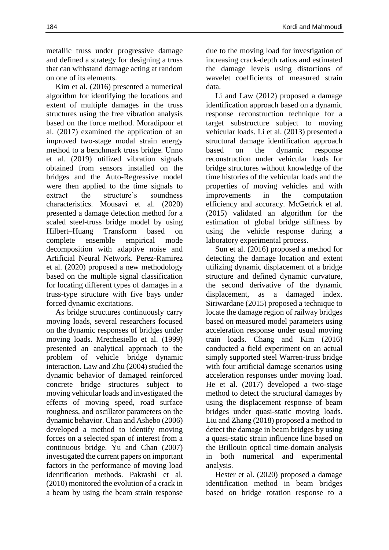Kim et al. (2016) presented a numerical algorithm for identifying the locations and extent of multiple damages in the truss structures using the free vibration analysis based on the force method. Moradipour et al. (2017) examined the application of an improved two-stage modal strain energy method to a benchmark truss bridge. Unno et al. (2019) utilized vibration signals obtained from sensors installed on the bridges and the Auto-Regressive model were then applied to the time signals to extract the structure's soundness characteristics. Mousavi et al. (2020) presented a damage detection method for a scaled steel-truss bridge model by using Hilbert–Huang Transform based on complete ensemble empirical mode decomposition with adaptive noise and Artificial Neural Network. Perez-Ramirez et al. (2020) proposed a new methodology based on the multiple signal classification for locating different types of damages in a truss-type structure with five bays under forced dynamic excitations.

As bridge structures continuously carry moving loads, several researchers focused on the dynamic responses of bridges under moving loads. Mrechesiello et al. (1999) presented an analytical approach to the problem of vehicle bridge dynamic interaction. Law and Zhu (2004) studied the dynamic behavior of damaged reinforced concrete bridge structures subject to moving vehicular loads and investigated the effects of moving speed, road surface roughness, and oscillator parameters on the dynamic behavior. Chan and Ashebo (2006) developed a method to identify moving forces on a selected span of interest from a continuous bridge. Yu and Chan (2007) investigated the current papers on important factors in the performance of moving load identification methods. Pakrashi et al. (2010) monitored the evolution of a crack in a beam by using the beam strain response

due to the moving load for investigation of increasing crack-depth ratios and estimated the damage levels using distortions of wavelet coefficients of measured strain data.

Li and Law (2012) proposed a damage identification approach based on a dynamic response reconstruction technique for a target substructure subject to moving vehicular loads. Li et al. (2013) presented a structural damage identification approach based on the dynamic response reconstruction under vehicular loads for bridge structures without knowledge of the time histories of the vehicular loads and the properties of moving vehicles and with improvements in the computation efficiency and accuracy. McGetrick et al. (2015) validated an algorithm for the estimation of global bridge stiffness by using the vehicle response during a laboratory experimental process.

Sun et al. (2016) proposed a method for detecting the damage location and extent utilizing dynamic displacement of a bridge structure and defined dynamic curvature, the second derivative of the dynamic displacement, as a damaged index. Siriwardane (2015) proposed a technique to locate the damage region of railway bridges based on measured model parameters using acceleration response under usual moving train loads. Chang and Kim (2016) conducted a field experiment on an actual simply supported steel Warren-truss bridge with four artificial damage scenarios using acceleration responses under moving load. He et al. (2017) developed a two-stage method to detect the structural damages by using the displacement response of beam bridges under quasi-static moving loads. Liu and Zhang (2018) proposed a method to detect the damage in beam bridges by using a quasi-static strain influence line based on the Brillouin optical time-domain analysis in both numerical and experimental analysis.

Hester et al. (2020) proposed a damage identification method in beam bridges based on bridge rotation response to a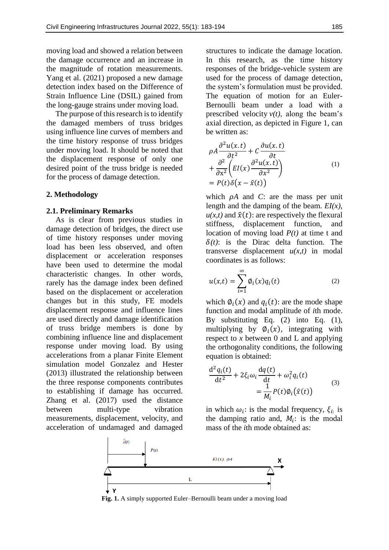moving load and showed a relation between the damage occurrence and an increase in the magnitude of rotation measurements. Yang et al. (2021) proposed a new damage detection index based on the Difference of Strain Influence Line (DSIL) gained from the long-gauge strains under moving load.

The purpose of this research is to identify the damaged members of truss bridges using influence line curves of members and the time history response of truss bridges under moving load. It should be noted that the displacement response of only one desired point of the truss bridge is needed for the process of damage detection.

#### **2. Methodology**

#### **2.1. Preliminary Remarks**

As is clear from previous studies in damage detection of bridges, the direct use of time history responses under moving load has been less observed, and often displacement or acceleration responses have been used to determine the modal characteristic changes. In other words, rarely has the damage index been defined based on the displacement or acceleration changes but in this study, FE models displacement response and influence lines are used directly and damage identification of truss bridge members is done by combining influence line and displacement response under moving load. By using accelerations from a planar Finite Element simulation model Gonzalez and Hester (2013) illustrated the relationship between the three response components contributes to establishing if damage has occurred. Zhang et al. (2017) used the distance between multi-type vibration measurements, displacement, velocity, and acceleration of undamaged and damaged

structures to indicate the damage location. In this research, as the time history responses of the bridge-vehicle system are used for the process of damage detection, the system's formulation must be provided. The equation of motion for an Euler-Bernoulli beam under a load with a prescribed velocity  $v(t)$ , along the beam's axial direction, as depicted in Figure 1, can be written as:

$$
\rho A \frac{\partial^2 u(x,t)}{\partial t^2} + C \frac{\partial u(x,t)}{\partial t} \n+ \frac{\partial^2}{\partial x^2} \left( EI(x) \frac{\partial^2 u(x,t)}{\partial x^2} \right) \n= P(t) \delta (x - \hat{x}(t))
$$
\n(1)

which  $\rho A$  and *C*: are the mass per unit length and the damping of the beam. *EI(x),*   $u(x,t)$  and  $\hat{x}(t)$ : are respectively the flexural stiffness, displacement function, and location of moving load *P(t)* at time t and  $\delta(t)$ : is the Dirac delta function. The transverse displacement  $u(x,t)$  in modal coordinates is as follows:

$$
u(x,t) = \sum_{i=1}^{\infty} \phi_i(x) q_i(t)
$$
 (2)

which  $\phi_i(x)$  and  $q_i(t)$ : are the mode shape function and modal amplitude of *i*th mode. By substituting Eq. (2) into Eq. (1), multiplying by  $\varphi_i(x)$ , integrating with respect to *x* between 0 and L and applying the orthogonality conditions, the following equation is obtained:

$$
\frac{d^2q_i(t)}{dt^2} + 2\xi_i\omega_i\frac{dq(t)}{dt} + \omega_i^2q_i(t) = \frac{1}{M_i}P(t)\phi_i(\hat{x}(t))
$$
\n(3)

in which  $\omega_i$ : is the modal frequency,  $\xi_i$  is the damping ratio and,  $M_i$ : is the modal mass of the *i*th mode obtained as:



**Fig. 1.** A simply supported Euler–Bernoulli beam under a moving load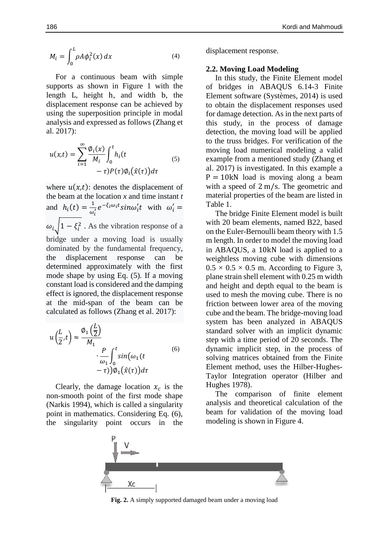$$
M_i = \int_0^L \rho A \phi_i^2(x) dx \tag{4}
$$

For a continuous beam with simple supports as shown in Figure 1 with the length L, height h, and width b, the displacement response can be achieved by using the superposition principle in modal analysis and expressed as follows (Zhang et al. 2017):

$$
u(x,t) = \sum_{i=1}^{\infty} \frac{\phi_i(x)}{M_i} \int_0^t h_i(t - \tau) P(\tau) \phi_i(\hat{x}(\tau)) d\tau
$$
 (5)

where  $u(x,t)$ : denotes the displacement of the beam at the location *x* and time instant *t* and  $h_i(t) = \frac{1}{a}$  $\frac{1}{\omega'_i}e^{-\xi_i\omega_i t}sin\omega'_i t$  with  $\omega'_i$  =  $\omega_i$   $\left|1 - \xi_i^2\right|$ . As the vibration response of a bridge under a moving load is usually dominated by the fundamental frequency, the displacement response can be determined approximately with the first mode shape by using Eq. (5). If a moving constant load is considered and the damping effect is ignored, the displacement response at the mid-span of the beam can be calculated as follows (Zhang et al. 2017):

$$
u\left(\frac{L}{2},t\right) \approx \frac{\phi_1\left(\frac{L}{2}\right)}{M_1} \cdot \frac{P}{\omega_1} \int_0^t \sin(\omega_1(t - \tau)) \phi_1(\hat{x}(\tau)) d\tau \tag{6}
$$

Clearly, the damage location  $x_c$  is the non-smooth point of the first mode shape (Narkis 1994), which is called a singularity point in mathematics. Considering Eq. (6), the singularity point occurs in the

displacement response.

#### **2.2. Moving Load Modeling**

In this study, the Finite Element model of bridges in ABAQUS 6.14-3 Finite Element software (Systèmes, 2014) is used to obtain the displacement responses used for damage detection. As in the next parts of this study, in the process of damage detection, the moving load will be applied to the truss bridges. For verification of the moving load numerical modeling a valid example from a mentioned study (Zhang et al. 2017) is investigated. In this example a  $P = 10kN$  load is moving along a beam with a speed of 2 m/s. The geometric and material properties of the beam are listed in Table 1.

The bridge Finite Element model is built with 20 beam elements, named B22, based on the Euler-Bernoulli beam theory with 1.5 m length. In order to model the moving load in ABAQUS, a 10kN load is applied to a weightless moving cube with dimensions  $0.5 \times 0.5 \times 0.5$  m. According to Figure 3, plane strain shell element with 0.25 m width and height and depth equal to the beam is used to mesh the moving cube. There is no friction between lower area of the moving cube and the beam. The bridge-moving load system has been analyzed in ABAQUS standard solver with an implicit dynamic step with a time period of 20 seconds. The dynamic implicit step, in the process of solving matrices obtained from the Finite Element method, uses the Hilber-Hughes-Taylor Integration operator (Hilber and Hughes 1978).

The comparison of finite element analysis and theoretical calculation of the beam for validation of the moving load modeling is shown in Figure 4.



**Fig. 2.** A simply supported damaged beam under a moving load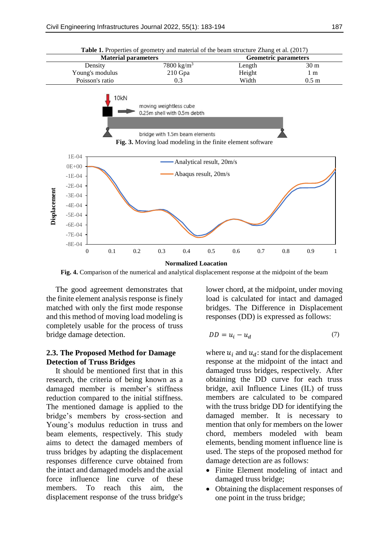

**Table 1.** Properties of geometry and material of the beam structure Zhang et al. (2017)

**Fig. 4.** Comparison of the numerical and analytical displacement response at the midpoint of the beam

The good agreement demonstrates that the finite element analysis response is finely matched with only the first mode response and this method of moving load modeling is completely usable for the process of truss bridge damage detection.

## **2.3. The Proposed Method for Damage Detection of Truss Bridges**

It should be mentioned first that in this research, the criteria of being known as a damaged member is member's stiffness reduction compared to the initial stiffness. The mentioned damage is applied to the bridge's members by cross-section and Young's modulus reduction in truss and beam elements, respectively. This study aims to detect the damaged members of truss bridges by adapting the displacement responses difference curve obtained from the intact and damaged models and the axial force influence line curve of these members. To reach this aim, the displacement response of the truss bridge's

lower chord, at the midpoint, under moving load is calculated for intact and damaged bridges. The Difference in Displacement responses (DD) is expressed as follows:

$$
DD = u_i - u_d \tag{7}
$$

where  $u_i$  and  $u_d$ : stand for the displacement response at the midpoint of the intact and damaged truss bridges, respectively. After obtaining the DD curve for each truss bridge, axil Influence Lines (IL) of truss members are calculated to be compared with the truss bridge DD for identifying the damaged member. It is necessary to mention that only for members on the lower chord, members modeled with beam elements, bending moment influence line is used. The steps of the proposed method for damage detection are as follows:

- Finite Element modeling of intact and damaged truss bridge;
- Obtaining the displacement responses of one point in the truss bridge;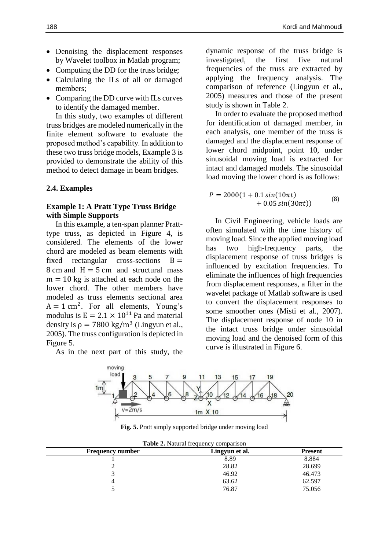- Denoising the displacement responses by Wavelet toolbox in Matlab program;
- Computing the DD for the truss bridge;
- Calculating the ILs of all or damaged members;
- Comparing the DD curve with ILs curves to identify the damaged member.

In this study, two examples of different truss bridges are modeled numerically in the finite element software to evaluate the proposed method's capability. In addition to these two truss bridge models, Example 3 is provided to demonstrate the ability of this method to detect damage in beam bridges.

## **2.4. Examples**

## **Example 1: A Pratt Type Truss Bridge with Simple Supports**

In this example, a ten-span planner Pratttype truss, as depicted in Figure 4, is considered. The elements of the lower chord are modeled as beam elements with fixed rectangular cross-sections  $B =$ 8 cm and  $H = 5$  cm and structural mass  $m = 10$  kg is attached at each node on the lower chord. The other members have modeled as truss elements sectional area  $A = 1$  cm<sup>2</sup>. For all elements, Young's modulus is  $E = 2.1 \times 10^{11}$  Pa and material density is  $\rho = 7800 \text{ kg/m}^3$  (Lingyun et al., 2005). The truss configuration is depicted in Figure 5.

As in the next part of this study, the

dynamic response of the truss bridge is investigated, the first five natural frequencies of the truss are extracted by applying the frequency analysis. The comparison of reference (Lingyun et al., 2005) measures and those of the present study is shown in Table 2.

In order to evaluate the proposed method for identification of damaged member, in each analysis, one member of the truss is damaged and the displacement response of lower chord midpoint, point 10, under sinusoidal moving load is extracted for intact and damaged models. The sinusoidal load moving the lower chord is as follows:

$$
P = 2000(1 + 0.1\sin(10\pi t) + 0.05\sin(30\pi t))
$$
\n(8)

In Civil Engineering, vehicle loads are often simulated with the time history of moving load. Since the applied moving load has two high-frequency parts, the displacement response of truss bridges is influenced by excitation frequencies. To eliminate the influences of high frequencies from displacement responses, a filter in the wavelet package of Matlab software is used to convert the displacement responses to some smoother ones (Misti et al., 2007). The displacement response of node 10 in the intact truss bridge under sinusoidal moving load and the denoised form of this curve is illustrated in Figure 6.



**Fig. 5.** Pratt simply supported bridge under moving load

| Table 2. Natural frequency comparison |                |                |  |  |  |
|---------------------------------------|----------------|----------------|--|--|--|
| <b>Frequency number</b>               | Lingvun et al. | <b>Present</b> |  |  |  |
|                                       | 8.89           | 8.884          |  |  |  |
|                                       | 28.82          | 28.699         |  |  |  |
|                                       | 46.92          | 46.473         |  |  |  |
| 4                                     | 63.62          | 62.597         |  |  |  |
|                                       | 76.87          | 75.056         |  |  |  |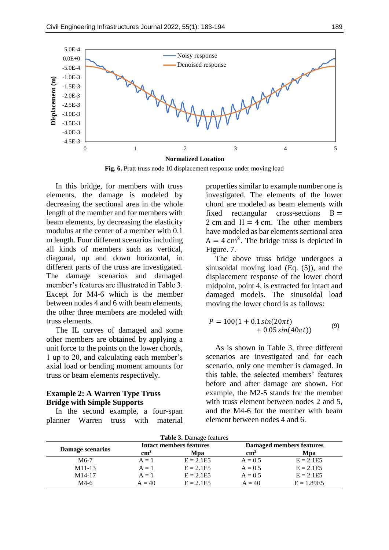

Fig. 6. Pratt truss node 10 displacement response under moving load

In this bridge, for members with truss elements, the damage is modeled by decreasing the sectional area in the whole length of the member and for members with beam elements, by decreasing the elasticity modulus at the center of a member with 0.1 m length. Four different scenarios including all kinds of members such as vertical, diagonal, up and down horizontal, in different parts of the truss are investigated. The damage scenarios and damaged member's features are illustrated in Table 3. Except for M4-6 which is the member between nodes 4 and 6 with beam elements, the other three members are modeled with truss elements.

The IL curves of damaged and some other members are obtained by applying a unit force to the points on the lower chords, 1 up to 20, and calculating each member's axial load or bending moment amounts for truss or beam elements respectively.

## **Example 2: A Warren Type Truss Bridge with Simple Supports**

In the second example, a four-span planner Warren truss with material properties similar to example number one is investigated. The elements of the lower chord are modeled as beam elements with fixed rectangular cross-sections  $B =$ 2 cm and  $H = 4$  cm. The other members have modeled as bar elements sectional area  $A = 4$  cm<sup>2</sup>. The bridge truss is depicted in Figure. 7.

The above truss bridge undergoes a sinusoidal moving load (Eq. (5)), and the displacement response of the lower chord midpoint, point 4, is extracted for intact and damaged models. The sinusoidal load moving the lower chord is as follows:

$$
P = 100(1 + 0.1\sin(20\pi t) + 0.05\sin(40\pi t))
$$
\n(9)

As is shown in Table 3, three different scenarios are investigated and for each scenario, only one member is damaged. In this table, the selected members' features before and after damage are shown. For example, the M2-5 stands for the member with truss element between nodes 2 and 5, and the M4-6 for the member with beam element between nodes 4 and 6.

| Table 3. Damage features |
|--------------------------|
|--------------------------|

| Damage scenarios    | Intact members features |             | <b>Damaged members features</b> |              |
|---------------------|-------------------------|-------------|---------------------------------|--------------|
|                     | $\text{cm}^2$           | Mpa         | $\text{cm}^2$                   | Mpa          |
| $M6-7$              | $A = 1$                 | $E = 2.1E5$ | $A = 0.5$                       | $E = 2.1E5$  |
| $M11-13$            | $A = 1$                 | $E = 2.1E5$ | $A = 0.5$                       | $E = 2.1E5$  |
| M <sub>14</sub> -17 | $A = 1$                 | $E = 2.1E5$ | $A = 0.5$                       | $E = 2.1E5$  |
| M4-6                | $A = 40$                | $E = 2.1E5$ | $A = 40$                        | $E = 1.89E5$ |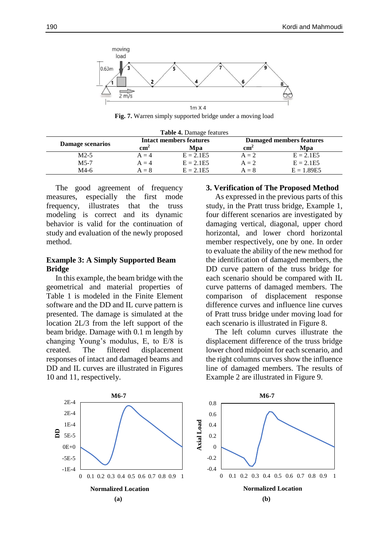

**Fig. 7.** Warren simply supported bridge under a moving load

| <b>Table 4.</b> Damage features |                                |             |                          |              |  |  |  |
|---------------------------------|--------------------------------|-------------|--------------------------|--------------|--|--|--|
| Damage scenarios                | <b>Intact members features</b> |             | Damaged members features |              |  |  |  |
|                                 | $\rm cm^2$                     | Mpa         | $\rm cm^2$               | <b>M</b> pa  |  |  |  |
| $M2-5$                          | $A = 4$                        | $E = 2.1E5$ | $A = 2$                  | $E = 2.1E5$  |  |  |  |
| $M5-7$                          | $A = 4$                        | $E = 2.1E5$ | $A = 2$                  | $E = 2.1E5$  |  |  |  |
| M4-6                            | $A = 8$                        | $E = 2.1E5$ | $A = 8$                  | $E = 1.89E5$ |  |  |  |

The good agreement of frequency measures, especially the first mode frequency, illustrates that the truss modeling is correct and its dynamic behavior is valid for the continuation of study and evaluation of the newly proposed method.

### **Example 3: A Simply Supported Beam Bridge**

In this example, the beam bridge with the geometrical and material properties of Table 1 is modeled in the Finite Element software and the DD and IL curve pattern is presented. The damage is simulated at the location 2L/3 from the left support of the beam bridge. Damage with 0.1 m length by changing Young's modulus, E, to E/8 is created. The filtered displacement responses of intact and damaged beams and DD and IL curves are illustrated in Figures 10 and 11, respectively.

#### **3. Verification of The Proposed Method**

As expressed in the previous parts of this study, in the Pratt truss bridge, Example 1, four different scenarios are investigated by damaging vertical, diagonal, upper chord horizontal, and lower chord horizontal member respectively, one by one. In order to evaluate the ability of the new method for the identification of damaged members, the DD curve pattern of the truss bridge for each scenario should be compared with IL curve patterns of damaged members. The comparison of displacement response difference curves and influence line curves of Pratt truss bridge under moving load for each scenario is illustrated in Figure 8.

The left column curves illustrate the displacement difference of the truss bridge lower chord midpoint for each scenario, and the right columns curves show the influence line of damaged members. The results of Example 2 are illustrated in Figure 9.

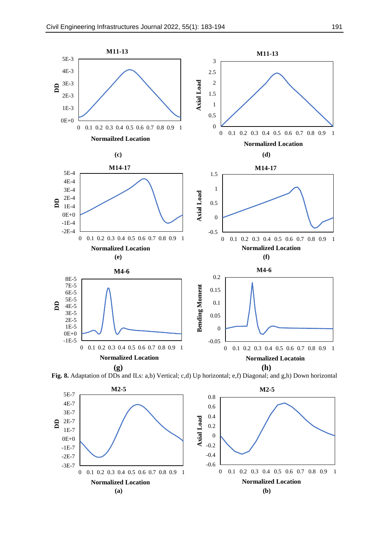



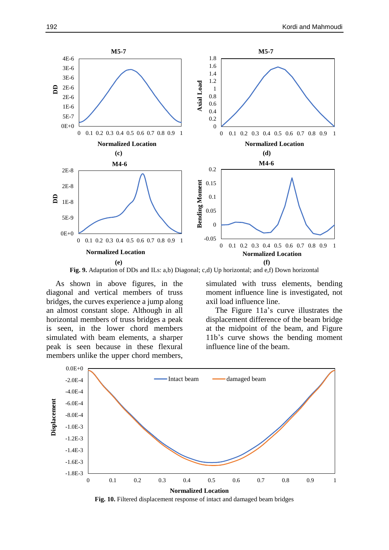

**Fig. 9.** Adaptation of DDs and ILs: a,b) Diagonal; c,d) Up horizontal; and e,f) Down horizontal

As shown in above figures, in the diagonal and vertical members of truss bridges, the curves experience a jump along an almost constant slope. Although in all horizontal members of truss bridges a peak is seen, in the lower chord members simulated with beam elements, a sharper peak is seen because in these flexural members unlike the upper chord members,

simulated with truss elements, bending moment influence line is investigated, not axil load influence line.

The Figure 11a's curve illustrates the displacement difference of the beam bridge at the midpoint of the beam, and Figure 11b's curve shows the bending moment influence line of the beam.



**Fig. 10.** Filtered displacement response of intact and damaged beam bridges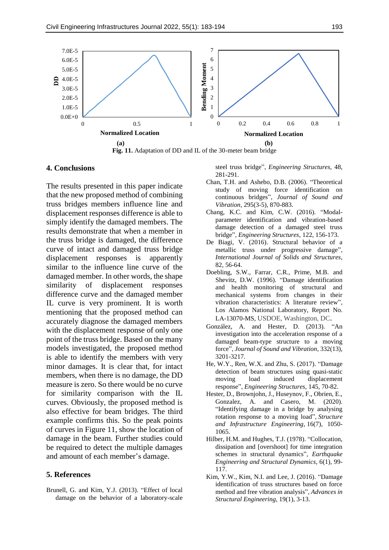

#### **4. Conclusions**

The results presented in this paper indicate that the new proposed method of combining truss bridges members influence line and displacement responses difference is able to simply identify the damaged members. The results demonstrate that when a member in the truss bridge is damaged, the difference curve of intact and damaged truss bridge displacement responses is apparently similar to the influence line curve of the damaged member. In other words, the shape similarity of displacement responses difference curve and the damaged member IL curve is very prominent. It is worth mentioning that the proposed method can accurately diagnose the damaged members with the displacement response of only one point of the truss bridge. Based on the many models investigated, the proposed method is able to identify the members with very minor damages. It is clear that, for intact members, when there is no damage, the DD measure is zero. So there would be no curve for similarity comparison with the IL curves. Obviously, the proposed method is also effective for beam bridges. The third example confirms this. So the peak points of curves in Figure 11, show the location of damage in the beam. Further studies could be required to detect the multiple damages and amount of each member's damage.

### **5. References**

Brunell, G. and Kim, Y.J. (2013). "Effect of local damage on the behavior of a laboratory-scale steel truss bridge", *Engineering Structures*, 48, 281-291.

- Chan, T.H. and Ashebo, D.B. (2006). "Theoretical study of moving force identification on continuous bridges", *Journal of Sound and Vibration*, 295(3-5), 870-883.
- Chang, K.C. and Kim, C.W. (2016). "Modalparameter identification and vibration-based damage detection of a damaged steel truss bridge", *Engineering Structures*, 122, 156-173.
- De Biagi, V. (2016). Structural behavior of a metallic truss under progressive damage", *International Journal of Solids and Structures*, 82, 56-64.
- Doebling, S.W., Farrar, C.R., Prime, M.B. and Shevitz, D.W. (1996). "Damage identification and health monitoring of structural and mechanical systems from changes in their vibration characteristics: A literature review", Los Alamos National Laboratory, Report No. LA-13070-MS, USDOE, Washington, DC.
- González, A. and Hester, D. (2013). "An investigation into the acceleration response of a damaged beam-type structure to a moving force", *Journal of Sound and Vibration*, 332(13), 3201-3217.
- He, W.Y., Ren, W.X. and Zhu, S. (2017). "Damage detection of beam structures using quasi-static moving load induced displacement response", *Engineering Structures*, 145, 70-82.
- Hester, D., Brownjohn, J., Huseynov, F., Obrien, E., Gonzalez, A. and Casero, M. (2020). "Identifying damage in a bridge by analysing rotation response to a moving load", *Structure and Infrastructure Engineering*, 16(7), 1050- 1065.
- Hilber, H.M. and Hughes, T.J. (1978). "Collocation, dissipation and [overshoot] for time integration schemes in structural dynamics", *Earthquake Engineering and Structural Dynamics*, 6(1), 99- 117.
- Kim, Y.W., Kim, N.I. and Lee, J. (2016). "Damage identification of truss structures based on force method and free vibration analysis", *Advances in Structural Engineering*, 19(1), 3-13.